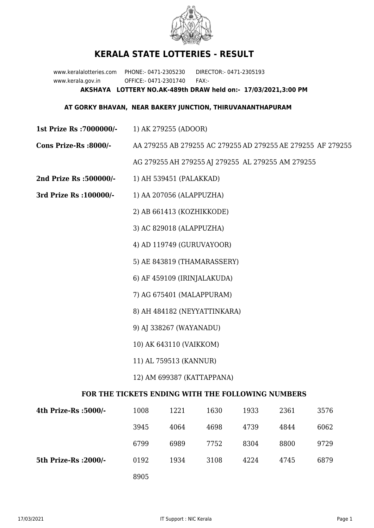

## **KERALA STATE LOTTERIES - RESULT**

www.keralalotteries.com PHONE:- 0471-2305230 DIRECTOR:- 0471-2305193 www.kerala.gov.in OFFICE:- 0471-2301740 FAX:- **AKSHAYA LOTTERY NO.AK-489th DRAW held on:- 17/03/2021,3:00 PM**

## **AT GORKY BHAVAN, NEAR BAKERY JUNCTION, THIRUVANANTHAPURAM**

- **1st Prize Rs :7000000/-** 1) AK 279255 (ADOOR)
- **Cons Prize-Rs :8000/-** AA 279255 AB 279255 AC 279255 AD 279255 AE 279255 AF 279255

AG 279255 AH 279255 AJ 279255 AL 279255 AM 279255

- **2nd Prize Rs :500000/-** 1) AH 539451 (PALAKKAD)
- **3rd Prize Rs :100000/-** 1) AA 207056 (ALAPPUZHA)

2) AB 661413 (KOZHIKKODE)

3) AC 829018 (ALAPPUZHA)

4) AD 119749 (GURUVAYOOR)

5) AE 843819 (THAMARASSERY)

6) AF 459109 (IRINJALAKUDA)

7) AG 675401 (MALAPPURAM)

8) AH 484182 (NEYYATTINKARA)

9) AJ 338267 (WAYANADU)

10) AK 643110 (VAIKKOM)

11) AL 759513 (KANNUR)

12) AM 699387 (KATTAPPANA)

## **FOR THE TICKETS ENDING WITH THE FOLLOWING NUMBERS**

| 4th Prize-Rs :5000/-  | 1008 | 1221 | 1630 | 1933 | 2361 | 3576 |
|-----------------------|------|------|------|------|------|------|
|                       | 3945 | 4064 | 4698 | 4739 | 4844 | 6062 |
|                       | 6799 | 6989 | 7752 | 8304 | 8800 | 9729 |
| 5th Prize-Rs : 2000/- | 0192 | 1934 | 3108 | 4224 | 4745 | 6879 |
|                       | 8905 |      |      |      |      |      |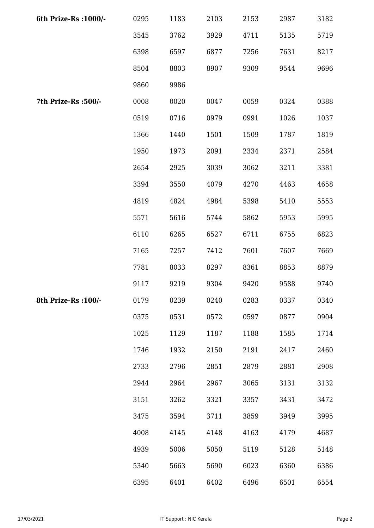| 6th Prize-Rs : 1000/- | 0295 | 1183 | 2103 | 2153 | 2987 | 3182 |
|-----------------------|------|------|------|------|------|------|
|                       | 3545 | 3762 | 3929 | 4711 | 5135 | 5719 |
|                       | 6398 | 6597 | 6877 | 7256 | 7631 | 8217 |
|                       | 8504 | 8803 | 8907 | 9309 | 9544 | 9696 |
|                       | 9860 | 9986 |      |      |      |      |
| 7th Prize-Rs :500/-   | 0008 | 0020 | 0047 | 0059 | 0324 | 0388 |
|                       | 0519 | 0716 | 0979 | 0991 | 1026 | 1037 |
|                       | 1366 | 1440 | 1501 | 1509 | 1787 | 1819 |
|                       | 1950 | 1973 | 2091 | 2334 | 2371 | 2584 |
|                       | 2654 | 2925 | 3039 | 3062 | 3211 | 3381 |
|                       | 3394 | 3550 | 4079 | 4270 | 4463 | 4658 |
|                       | 4819 | 4824 | 4984 | 5398 | 5410 | 5553 |
|                       | 5571 | 5616 | 5744 | 5862 | 5953 | 5995 |
|                       | 6110 | 6265 | 6527 | 6711 | 6755 | 6823 |
|                       | 7165 | 7257 | 7412 | 7601 | 7607 | 7669 |
|                       | 7781 | 8033 | 8297 | 8361 | 8853 | 8879 |
|                       | 9117 | 9219 | 9304 | 9420 | 9588 | 9740 |
| 8th Prize-Rs : 100/-  | 0179 | 0239 | 0240 | 0283 | 0337 | 0340 |
|                       | 0375 | 0531 | 0572 | 0597 | 0877 | 0904 |
|                       | 1025 | 1129 | 1187 | 1188 | 1585 | 1714 |
|                       | 1746 | 1932 | 2150 | 2191 | 2417 | 2460 |
|                       | 2733 | 2796 | 2851 | 2879 | 2881 | 2908 |
|                       | 2944 | 2964 | 2967 | 3065 | 3131 | 3132 |
|                       | 3151 | 3262 | 3321 | 3357 | 3431 | 3472 |
|                       | 3475 | 3594 | 3711 | 3859 | 3949 | 3995 |
|                       | 4008 | 4145 | 4148 | 4163 | 4179 | 4687 |
|                       | 4939 | 5006 | 5050 | 5119 | 5128 | 5148 |
|                       | 5340 | 5663 | 5690 | 6023 | 6360 | 6386 |
|                       | 6395 | 6401 | 6402 | 6496 | 6501 | 6554 |